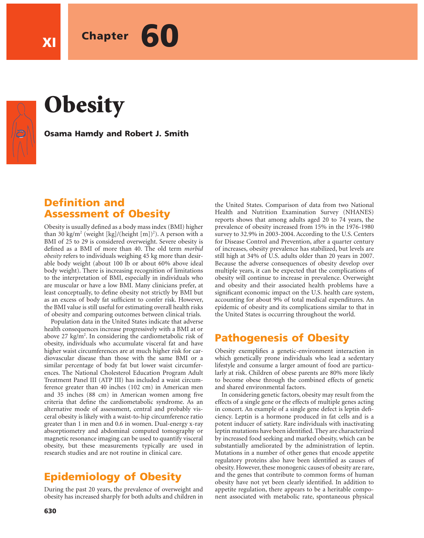**XI**

**Chapter 60** 

# **Obesity**

**Osama Hamdy and Robert J. Smith** 

## **Definition and Assessment of Obesity**

Obesity is usually defined as a body mass index (BMI) higher than 30 kg/m<sup>2</sup> (weight [kg]/(height  $[m])^2$ ). A person with a BMI of 25 to 29 is considered overweight. Severe obesity is defined as a BMI of more than 40. The old term *morbid obesity* refers to individuals weighing 45 kg more than desirable body weight (about 100 lb or about 60% above ideal body weight). There is increasing recognition of limitations to the interpretation of BMI, especially in individuals who are muscular or have a low BMI. Many clinicians prefer, at least conceptually, to define obesity not strictly by BMI but as an excess of body fat sufficient to confer risk. However, the BMI value is still useful for estimating overall health risks of obesity and comparing outcomes between clinical trials.

 Population data in the United States indicate that adverse health consequences increase progressively with a BMI at or above 27  $\text{kg/m}^2$ . In considering the cardiometabolic risk of obesity, individuals who accumulate visceral fat and have higher waist circumferences are at much higher risk for cardiovascular disease than those with the same BMI or a similar percentage of body fat but lower waist circumferences. The National Cholesterol Education Program Adult Treatment Panel III (ATP III) has included a waist circumference greater than 40 inches (102 cm) in American men and 35 inches (88 cm) in American women among five criteria that define the cardiometabolic syndrome. As an alternative mode of assessment, central and probably visceral obesity is likely with a waist-to-hip circumference ratio greater than 1 in men and 0.6 in women. Dual-energy x-ray absorptiometry and abdominal computed tomography or magnetic resonance imaging can be used to quantify visceral obesity, but these measurements typically are used in research studies and are not routine in clinical care.

## **Epidemiology of Obesity**

 During the past 20 years, the prevalence of overweight and obesity has increased sharply for both adults and children in the United States. Comparison of data from two National Health and Nutrition Examination Survey (NHANES) reports shows that among adults aged 20 to 74 years, the prevalence of obesity increased from 15% in the 1976-1980 survey to 32.9% in 2003-2004. According to the U.S. Centers for Disease Control and Prevention, after a quarter century of increases, obesity prevalence has stabilized, but levels are still high at 34% of U.S. adults older than 20 years in 2007. Because the adverse consequences of obesity develop over multiple years, it can be expected that the complications of obesity will continue to increase in prevalence. Overweight and obesity and their associated health problems have a significant economic impact on the U.S. health care system, accounting for about 9% of total medical expenditures. An epidemic of obesity and its complications similar to that in the United States is occurring throughout the world.

## **Pathogenesis of Obesity**

Obesity exemplifies a genetic-environment interaction in which genetically prone individuals who lead a sedentary lifestyle and consume a larger amount of food are particularly at risk. Children of obese parents are 80% more likely to become obese through the combined effects of genetic and shared environmental factors.

 In considering genetic factors, obesity may result from the effects of a single gene or the effects of multiple genes acting in concert. An example of a single gene defect is leptin deficiency. Leptin is a hormone produced in fat cells and is a potent inducer of satiety. Rare individuals with inactivating leptin mutations have been identified. They are characterized by increased food seeking and marked obesity, which can be substantially ameliorated by the administration of leptin. Mutations in a number of other genes that encode appetite regulatory proteins also have been identified as causes of obesity. However, these monogenic causes of obesity are rare, and the genes that contribute to common forms of human obesity have not yet been clearly identified. In addition to appetite regulation, there appears to be a heritable component associated with metabolic rate, spontaneous physical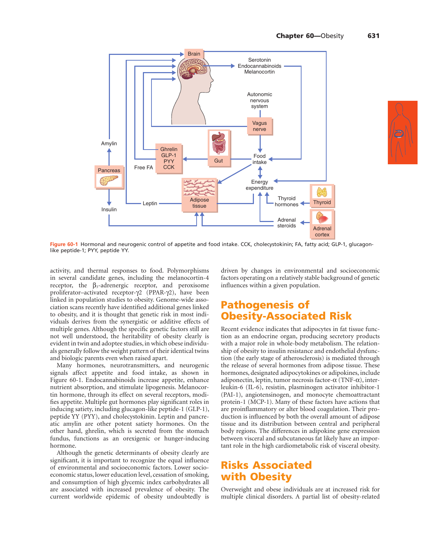

**Figure 60-1** Hormonal and neurogenic control of appetite and food intake. CCK, cholecystokinin; FA, fatty acid; GLP-1, glucagonlike peptide-1; PYY, peptide YY.

activity, and thermal responses to food. Polymorphisms in several candidate genes, including the melanocortin-4 receptor, the  $\beta_3$ -adrenergic receptor, and peroxisome proliferator-activated receptor- $γ2$  (PPAR- $γ2$ ), have been linked in population studies to obesity. Genome-wide association scans recently have identified additional genes linked to obesity, and it is thought that genetic risk in most individuals derives from the synergistic or additive effects of multiple genes. Although the specific genetic factors still are not well understood, the heritability of obesity clearly is evident in twin and adoptee studies, in which obese individuals generally follow the weight pattern of their identical twins and biologic parents even when raised apart.

 Many hormones, neurotransmitters, and neurogenic signals affect appetite and food intake, as shown in Figure 60-1. Endocannabinoids increase appetite, enhance nutrient absorption, and stimulate lipogenesis. Melanocortin hormone, through its effect on several receptors, modifies appetite. Multiple gut hormones play significant roles in inducing satiety, including glucagon-like peptide-1 (GLP-1), peptide YY (PYY), and cholecystokinin. Leptin and pancreatic amylin are other potent satiety hormones. On the other hand, ghrelin, which is secreted from the stomach fundus, functions as an orexigenic or hunger-inducing hormone.

 Although the genetic determinants of obesity clearly are significant, it is important to recognize the equal influence of environmental and socioeconomic factors. Lower socioeconomic status, lower education level, cessation of smoking, and consumption of high glycemic index carbohydrates all are associated with increased prevalence of obesity. The current worldwide epidemic of obesity undoubtedly is driven by changes in environmental and socioeconomic factors operating on a relatively stable background of genetic influences within a given population.

## **Pathogenesis of Obesity-Associated Risk**

 Recent evidence indicates that adipocytes in fat tissue function as an endocrine organ, producing secretory products with a major role in whole-body metabolism. The relationship of obesity to insulin resistance and endothelial dysfunction (the early stage of atherosclerosis) is mediated through the release of several hormones from adipose tissue. These hormones, designated adipocytokines or adipokines, include adiponectin, leptin, tumor necrosis factor- $\alpha$  (TNF- $\alpha$ ), interleukin-6 (IL-6), resistin, plasminogen activator inhibitor-1 (PAI-1), angiotensinogen, and monocyte chemoattractant protein-1 (MCP-1). Many of these factors have actions that are proinflammatory or alter blood coagulation. Their production is influenced by both the overall amount of adipose tissue and its distribution between central and peripheral body regions. The differences in adipokine gene expression between visceral and subcutaneous fat likely have an important role in the high cardiometabolic risk of visceral obesity.

## **Risks Associated with Obesity**

 Overweight and obese individuals are at increased risk for multiple clinical disorders. A partial list of obesity-related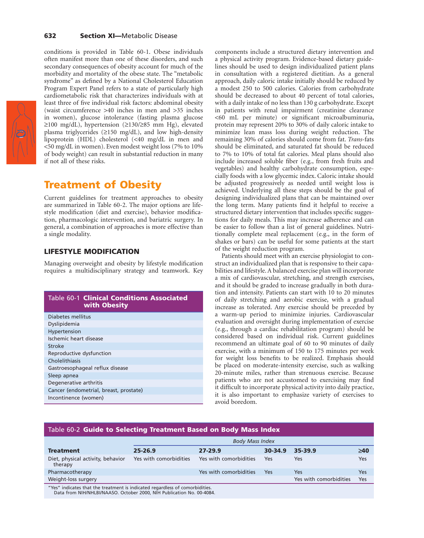#### **632 Section XI—**Metabolic Disease



conditions is provided in Table 60-1 . Obese individuals often manifest more than one of these disorders, and such secondary consequences of obesity account for much of the morbidity and mortality of the obese state. The " metabolic syndrome" as defined by a National Cholesterol Education Program Expert Panel refers to a state of particularly high cardiometabolic risk that characterizes individuals with at least three of five individual risk factors: abdominal obesity (waist circumference > 40 inches in men and > 35 inches in women), glucose intolerance (fasting plasma glucose  $≥ 100$  mg/dL), hypertension ( $≥ 130/≥ 85$  mm Hg), elevated plasma triglycerides  $(\geq 150 \text{ mg/dL})$ , and low high-density lipoprotein (HDL) cholesterol (<40 mg/dL in men and  $\leq$ 50 mg/dL in women). Even modest weight loss (7% to 10% of body weight) can result in substantial reduction in many if not all of these risks.

## **Treatment of Obesity**

 Current guidelines for treatment approaches to obesity are summarized in Table 60-2. The major options are lifestyle modification (diet and exercise), behavior modification, pharmacologic intervention, and bariatric surgery. In general, a combination of approaches is more effective than a single modality.

#### **LIFESTYLE MODIFICATION**

Managing overweight and obesity by lifestyle modification requires a multidisciplinary strategy and teamwork. Key

| <b>Table 60-1 Clinical Conditions Associated</b><br>with Obesity |  |  |  |  |  |
|------------------------------------------------------------------|--|--|--|--|--|
| Diabetes mellitus                                                |  |  |  |  |  |
| Dyslipidemia                                                     |  |  |  |  |  |
| Hypertension                                                     |  |  |  |  |  |
| Ischemic heart disease                                           |  |  |  |  |  |
| Stroke                                                           |  |  |  |  |  |
| Reproductive dysfunction                                         |  |  |  |  |  |
| Cholelithiasis                                                   |  |  |  |  |  |
| Gastroesophageal reflux disease                                  |  |  |  |  |  |
| Sleep apnea                                                      |  |  |  |  |  |
| Degenerative arthritis                                           |  |  |  |  |  |
| Cancer (endometrial, breast, prostate)                           |  |  |  |  |  |
| Incontinence (women)                                             |  |  |  |  |  |

components include a structured dietary intervention and a physical activity program. Evidence-based dietary guidelines should be used to design individualized patient plans in consultation with a registered dietitian. As a general approach, daily caloric intake initially should be reduced by a modest 250 to 500 calories. Calories from carbohydrate should be decreased to about 40 percent of total calories, with a daily intake of no less than 130 g carbohydrate. Except in patients with renal impairment (creatinine clearance  $<$  60 mL per minute) or significant microalbuminuria, protein may represent 20% to 30% of daily caloric intake to minimize lean mass loss during weight reduction. The remaining 30% of calories should come from fat. *Trans* -fats should be eliminated, and saturated fat should be reduced to 7% to 10% of total fat calories. Meal plans should also include increased soluble fiber (e.g., from fresh fruits and vegetables) and healthy carbohydrate consumption, especially foods with a low glycemic index. Caloric intake should be adjusted progressively as needed until weight loss is achieved. Underlying all these steps should be the goal of designing individualized plans that can be maintained over the long term. Many patients find it helpful to receive a structured dietary intervention that includes specific suggestions for daily meals. This may increase adherence and can be easier to follow than a list of general guidelines. Nutritionally complete meal replacement (e.g., in the form of shakes or bars) can be useful for some patients at the start of the weight reduction program.

 Patients should meet with an exercise physiologist to construct an individualized plan that is responsive to their capabilities and lifestyle. A balanced exercise plan will incorporate a mix of cardiovascular, stretching, and strength exercises, and it should be graded to increase gradually in both duration and intensity. Patients can start with 10 to 20 minutes of daily stretching and aerobic exercise, with a gradual increase as tolerated. Any exercise should be preceded by a warm-up period to minimize injuries. Cardiovascular evaluation and oversight during implementation of exercise (e.g., through a cardiac rehabilitation program) should be considered based on individual risk. Current guidelines recommend an ultimate goal of 60 to 90 minutes of daily exercise, with a minimum of 150 to 175 minutes per week for weight loss benefits to be realized. Emphasis should be placed on moderate-intensity exercise, such as walking 20-minute miles, rather than strenuous exercise. Because patients who are not accustomed to exercising may find it difficult to incorporate physical activity into daily practice, it is also important to emphasize variety of exercises to avoid boredom.

| Table 60-2 Guide to Selecting Treatment Based on Body Mass Index             |                        |                        |             |                        |           |  |
|------------------------------------------------------------------------------|------------------------|------------------------|-------------|------------------------|-----------|--|
|                                                                              | <b>Body Mass Index</b> |                        |             |                        |           |  |
| <b>Treatment</b>                                                             | 25-26.9                | 27-29.9                | $30 - 34.9$ | 35-39.9                | $\geq 40$ |  |
| Diet, physical activity, behavior<br>therapy                                 | Yes with comorbidities | Yes with comorbidities | <b>Yes</b>  | Yes                    | Yes       |  |
| Pharmacotherapy                                                              |                        | Yes with comorbidities | Yes.        | Yes                    | Yes       |  |
| Weight-loss surgery                                                          |                        |                        |             | Yes with comorbidities | Yes       |  |
| "Yes" indicates that the treatment is indicated regardless of comorbidities. |                        |                        |             |                        |           |  |

" Yes "indicates that the treatment is indicated regardless of comorbidities. Data from NIH/NHLBI/NAASO. October 2000, NIH Publication No. 00-4084.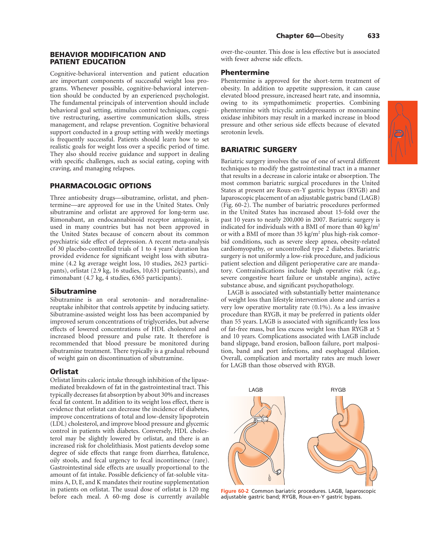#### **BEHAVIOR MODIFICATION AND PATIENT EDUCATION**

 Cognitive-behavioral intervention and patient education are important components of successful weight loss programs. Whenever possible, cognitive-behavioral intervention should be conducted by an experienced psychologist. The fundamental principals of intervention should include behavioral goal setting, stimulus control techniques, cognitive restructuring, assertive communication skills, stress management, and relapse prevention. Cognitive behavioral support conducted in a group setting with weekly meetings is frequently successful. Patients should learn how to set realistic goals for weight loss over a specific period of time. They also should receive guidance and support in dealing with specific challenges, such as social eating, coping with craving, and managing relapses.

#### **PHARMACOLOGIC OPTIONS**

Three antiobesity drugs—sibutramine, orlistat, and phentermine — are approved for use in the United States. Only sibutramine and orlistat are approved for long-term use. Rimonabant, an endocannabinoid receptor antagonist, is used in many countries but has not been approved in the United States because of concern about its common psychiatric side effect of depression. A recent meta-analysis of 30 placebo-controlled trials of 1 to 4 years ' duration has provided evidence for significant weight loss with sibutramine (4.2 kg average weight loss, 10 studies, 2623 participants), orlistat (2.9 kg, 16 studies, 10,631 participants), and rimonabant (4.7 kg, 4 studies, 6365 participants).

#### **Sibutramine**

 Sibutramine is an oral serotonin- and noradrenalinereuptake inhibitor that controls appetite by inducing satiety. Sibutramine-assisted weight loss has been accompanied by improved serum concentrations of triglycerides, but adverse effects of lowered concentrations of HDL cholesterol and increased blood pressure and pulse rate. It therefore is recommended that blood pressure be monitored during sibutramine treatment. There typically is a gradual rebound of weight gain on discontinuation of sibutramine.

#### **Orlistat**

 Orlistat limits caloric intake through inhibition of the lipasemediated breakdown of fat in the gastrointestinal tract. This typically decreases fat absorption by about 30% and increases fecal fat content. In addition to its weight loss effect, there is evidence that orlistat can decrease the incidence of diabetes, improve concentrations of total and low-density lipoprotein (LDL) cholesterol, and improve blood pressure and glycemic control in patients with diabetes. Conversely, HDL cholesterol may be slightly lowered by orlistat, and there is an increased risk for cholelithiasis. Most patients develop some degree of side effects that range from diarrhea, flatulence, oily stools, and fecal urgency to fecal incontinence (rare). Gastrointestinal side effects are usually proportional to the amount of fat intake. Possible deficiency of fat-soluble vitamins A, D, E, and K mandates their routine supplementation in patients on orlistat. The usual dose of orlistat is 120 mg before each meal. A 60-mg dose is currently available

over-the-counter. This dose is less effective but is associated with fewer adverse side effects.

#### **Phentermine**

 Phentermine is approved for the short-term treatment of obesity. In addition to appetite suppression, it can cause elevated blood pressure, increased heart rate, and insomnia, owing to its sympathomimetic properties. Combining phentermine with tricyclic antidepressants or monoamine oxidase inhibitors may result in a marked increase in blood pressure and other serious side effects because of elevated serotonin levels.

#### **BARIATRIC SURGERY**

 Bariatric surgery involves the use of one of several different techniques to modify the gastrointestinal tract in a manner that results in a decrease in calorie intake or absorption. The most common bariatric surgical procedures in the United States at present are Roux-en-Y gastric bypass (RYGB) and laparoscopic placement of an adjustable gastric band (LAGB) (Fig. 60-2). The number of bariatric procedures performed in the United States has increased about 15-fold over the past 10 years to nearly 200,000 in 2007. Bariatric surgery is indicated for individuals with a BMI of more than 40 kg/m<sup>2</sup> or with a BMI of more than 35 kg/m<sup>2</sup> plus high-risk comorbid conditions, such as severe sleep apnea, obesity-related cardiomyopathy, or uncontrolled type 2 diabetes. Bariatric surgery is not uniformly a low-risk procedure, and judicious patient selection and diligent perioperative care are mandatory. Contraindications include high operative risk (e.g., severe congestive heart failure or unstable angina), active substance abuse, and significant psychopathology.

 LAGB is associated with substantially better maintenance of weight loss than lifestyle intervention alone and carries a very low operative mortality rate (0.1%). As a less invasive procedure than RYGB, it may be preferred in patients older than 55 years. LAGB is associated with significantly less loss of fat-free mass, but less excess weight loss than RYGB at 5 and 10 years. Complications associated with LAGB include band slippage, band erosion, balloon failure, port malposition, band and port infections, and esophageal dilation. Overall, complication and mortality rates are much lower for LAGB than those observed with RYGB.



**Figure 60-2** Common bariatric procedures. LAGB, laparoscopic adjustable gastric band; RYGB, Roux-en-Y gastric bypass.